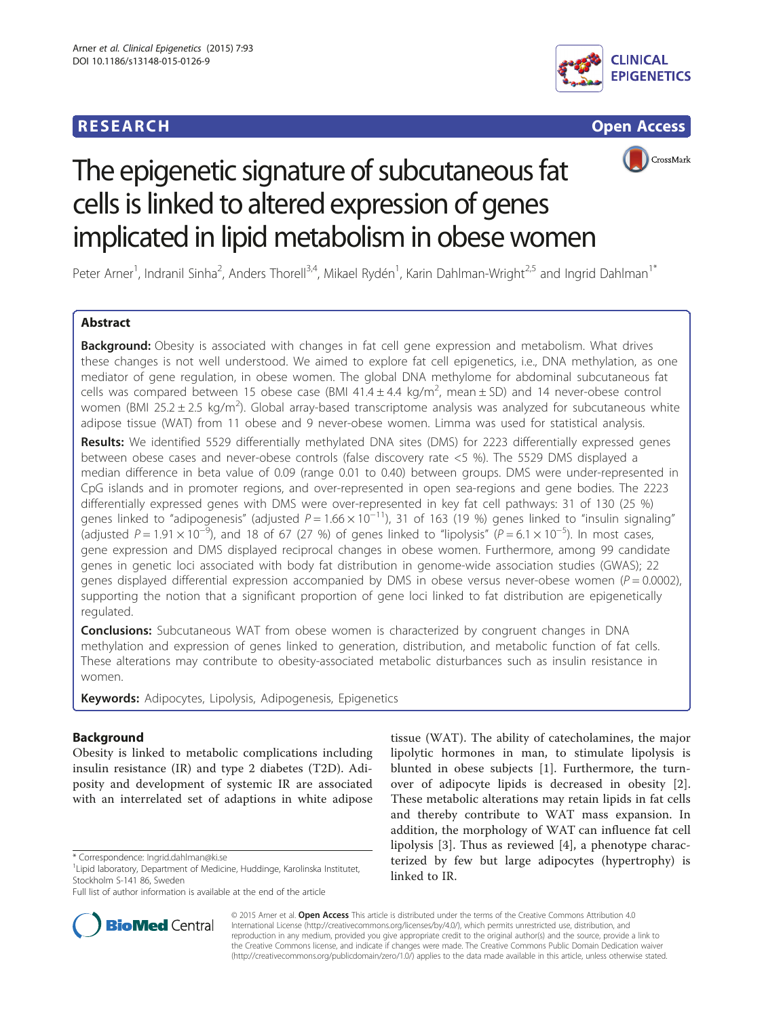# **RESEARCH RESEARCH** *CHECK CHECK CHECK CHECK CHECK CHECK CHECK CHECK CHECK CHECK CHECK CHECK CHECK CHECK CHECK CHECK CHECK CHECK CHECK CHECK CHECK CHECK CHECK CHECK CHECK CHECK CHECK CHECK CHECK CHECK CHECK CHECK CHECK*







# The epigenetic signature of subcutaneous fat cells is linked to altered expression of genes implicated in lipid metabolism in obese women

Peter Arner<sup>1</sup>, Indranil Sinha<sup>2</sup>, Anders Thorell<sup>3,4</sup>, Mikael Rydén<sup>1</sup>, Karin Dahlman-Wright<sup>2,5</sup> and Ingrid Dahlman<sup>1\*</sup>

# Abstract

Background: Obesity is associated with changes in fat cell gene expression and metabolism. What drives these changes is not well understood. We aimed to explore fat cell epigenetics, i.e., DNA methylation, as one mediator of gene regulation, in obese women. The global DNA methylome for abdominal subcutaneous fat cells was compared between 15 obese case (BMI 41.4  $\pm$  4.4 kg/m<sup>2</sup>, mean  $\pm$  SD) and 14 never-obese control women (BMI 25.2  $\pm$  2.5 kg/m<sup>2</sup>). Global array-based transcriptome analysis was analyzed for subcutaneous white adipose tissue (WAT) from 11 obese and 9 never-obese women. Limma was used for statistical analysis.

Results: We identified 5529 differentially methylated DNA sites (DMS) for 2223 differentially expressed genes between obese cases and never-obese controls (false discovery rate <5 %). The 5529 DMS displayed a median difference in beta value of 0.09 (range 0.01 to 0.40) between groups. DMS were under-represented in CpG islands and in promoter regions, and over-represented in open sea-regions and gene bodies. The 2223 differentially expressed genes with DMS were over-represented in key fat cell pathways: 31 of 130 (25 %) genes linked to "adipogenesis" (adjusted  $P = 1.66 \times 10^{-11}$ ), 31 of 163 (19 %) genes linked to "insulin signaling" (adjusted P = 1.91  $\times$  10<sup>-5</sup>), and 18 of 67 (27 %) of genes linked to "lipolysis" (P = 6.1  $\times$  10<sup>-5</sup>). In most cases, gene expression and DMS displayed reciprocal changes in obese women. Furthermore, among 99 candidate genes in genetic loci associated with body fat distribution in genome-wide association studies (GWAS); 22 genes displayed differential expression accompanied by DMS in obese versus never-obese women ( $P = 0.0002$ ), supporting the notion that a significant proportion of gene loci linked to fat distribution are epigenetically regulated.

**Conclusions:** Subcutaneous WAT from obese women is characterized by congruent changes in DNA methylation and expression of genes linked to generation, distribution, and metabolic function of fat cells. These alterations may contribute to obesity-associated metabolic disturbances such as insulin resistance in women.

Keywords: Adipocytes, Lipolysis, Adipogenesis, Epigenetics

# Background

Obesity is linked to metabolic complications including insulin resistance (IR) and type 2 diabetes (T2D). Adiposity and development of systemic IR are associated with an interrelated set of adaptions in white adipose

Full list of author information is available at the end of the article



tissue (WAT). The ability of catecholamines, the major lipolytic hormones in man, to stimulate lipolysis is blunted in obese subjects [[1\]](#page-11-0). Furthermore, the turnover of adipocyte lipids is decreased in obesity [\[2](#page-11-0)]. These metabolic alterations may retain lipids in fat cells and thereby contribute to WAT mass expansion. In addition, the morphology of WAT can influence fat cell lipolysis [[3\]](#page-11-0). Thus as reviewed [[4\]](#page-11-0), a phenotype characterized by few but large adipocytes (hypertrophy) is linked to IR.

© 2015 Arner et al. Open Access This article is distributed under the terms of the Creative Commons Attribution 4.0 International License [\(http://creativecommons.org/licenses/by/4.0/](http://creativecommons.org/licenses/by/4.0/)), which permits unrestricted use, distribution, and reproduction in any medium, provided you give appropriate credit to the original author(s) and the source, provide a link to the Creative Commons license, and indicate if changes were made. The Creative Commons Public Domain Dedication waiver [\(http://creativecommons.org/publicdomain/zero/1.0/](http://creativecommons.org/publicdomain/zero/1.0/)) applies to the data made available in this article, unless otherwise stated.

<sup>\*</sup> Correspondence: [Ingrid.dahlman@ki.se](mailto:Ingrid.dahlman@ki.se) <sup>1</sup>

<sup>&</sup>lt;sup>1</sup> Lipid laboratory, Department of Medicine, Huddinge, Karolinska Institutet, Stockholm S-141 86, Sweden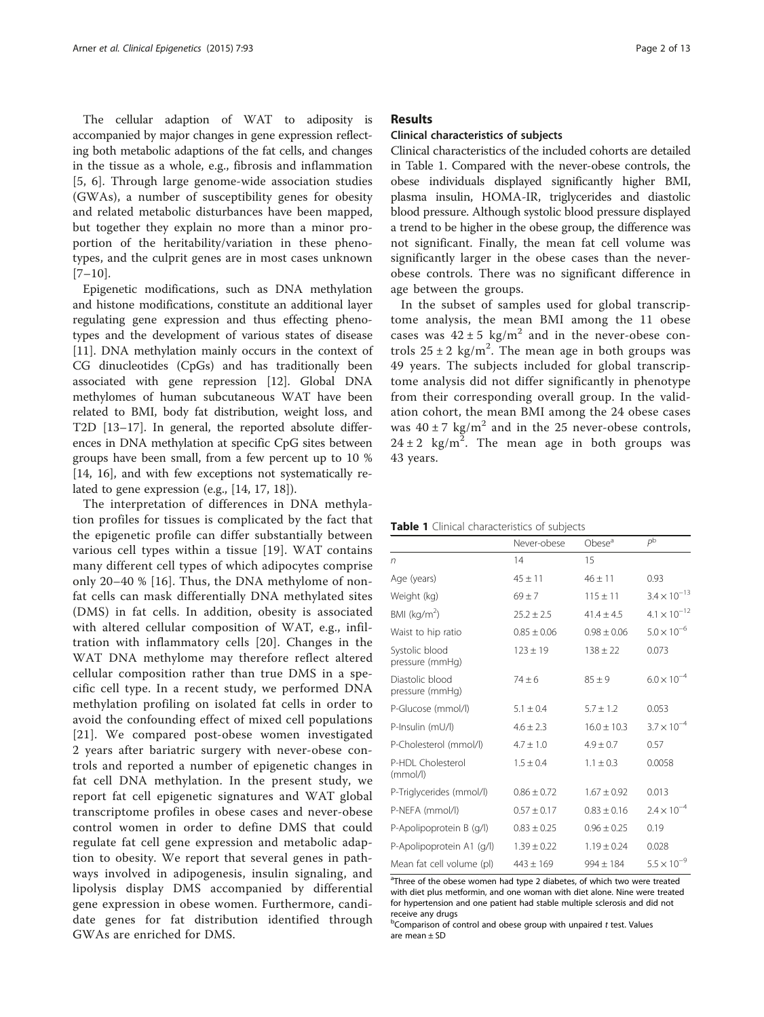<span id="page-1-0"></span>The cellular adaption of WAT to adiposity is accompanied by major changes in gene expression reflecting both metabolic adaptions of the fat cells, and changes in the tissue as a whole, e.g., fibrosis and inflammation [[5, 6](#page-11-0)]. Through large genome-wide association studies (GWAs), a number of susceptibility genes for obesity and related metabolic disturbances have been mapped, but together they explain no more than a minor proportion of the heritability/variation in these phenotypes, and the culprit genes are in most cases unknown  $[7-10]$  $[7-10]$  $[7-10]$  $[7-10]$ .

Epigenetic modifications, such as DNA methylation and histone modifications, constitute an additional layer regulating gene expression and thus effecting phenotypes and the development of various states of disease [[11\]](#page-11-0). DNA methylation mainly occurs in the context of CG dinucleotides (CpGs) and has traditionally been associated with gene repression [\[12](#page-11-0)]. Global DNA methylomes of human subcutaneous WAT have been related to BMI, body fat distribution, weight loss, and T2D [\[13](#page-11-0)–[17\]](#page-11-0). In general, the reported absolute differences in DNA methylation at specific CpG sites between groups have been small, from a few percent up to 10 % [[14, 16\]](#page-11-0), and with few exceptions not systematically related to gene expression (e.g., [\[14](#page-11-0), [17](#page-11-0), [18\]](#page-12-0)).

The interpretation of differences in DNA methylation profiles for tissues is complicated by the fact that the epigenetic profile can differ substantially between various cell types within a tissue [\[19](#page-12-0)]. WAT contains many different cell types of which adipocytes comprise only 20–40 % [[16](#page-11-0)]. Thus, the DNA methylome of nonfat cells can mask differentially DNA methylated sites (DMS) in fat cells. In addition, obesity is associated with altered cellular composition of WAT, e.g., infiltration with inflammatory cells [[20\]](#page-12-0). Changes in the WAT DNA methylome may therefore reflect altered cellular composition rather than true DMS in a specific cell type. In a recent study, we performed DNA methylation profiling on isolated fat cells in order to avoid the confounding effect of mixed cell populations [[21](#page-12-0)]. We compared post-obese women investigated 2 years after bariatric surgery with never-obese controls and reported a number of epigenetic changes in fat cell DNA methylation. In the present study, we report fat cell epigenetic signatures and WAT global transcriptome profiles in obese cases and never-obese control women in order to define DMS that could regulate fat cell gene expression and metabolic adaption to obesity. We report that several genes in pathways involved in adipogenesis, insulin signaling, and lipolysis display DMS accompanied by differential gene expression in obese women. Furthermore, candidate genes for fat distribution identified through GWAs are enriched for DMS.

# Results

# Clinical characteristics of subjects

Clinical characteristics of the included cohorts are detailed in Table 1. Compared with the never-obese controls, the obese individuals displayed significantly higher BMI, plasma insulin, HOMA-IR, triglycerides and diastolic blood pressure. Although systolic blood pressure displayed a trend to be higher in the obese group, the difference was not significant. Finally, the mean fat cell volume was significantly larger in the obese cases than the neverobese controls. There was no significant difference in age between the groups.

In the subset of samples used for global transcriptome analysis, the mean BMI among the 11 obese cases was  $42 \pm 5$  kg/m<sup>2</sup> and in the never-obese controls  $25 \pm 2$  kg/m<sup>2</sup>. The mean age in both groups was 49 years. The subjects included for global transcriptome analysis did not differ significantly in phenotype from their corresponding overall group. In the validation cohort, the mean BMI among the 24 obese cases was  $40 \pm 7$  kg/m<sup>2</sup> and in the 25 never-obese controls,  $24 \pm 2$  kg/m<sup>2</sup>. The mean age in both groups was 43 years.

|  |  | Table 1 Clinical characteristics of subjects |  |  |
|--|--|----------------------------------------------|--|--|
|--|--|----------------------------------------------|--|--|

|                                    | Never-obese     | Obese <sup>a</sup> | $P^{\rm b}$           |
|------------------------------------|-----------------|--------------------|-----------------------|
| n                                  | 14              | 15                 |                       |
| Age (years)                        | $45 + 11$       | $46 + 11$          | 0.93                  |
| Weight (kg)                        | $69 + 7$        | $115 \pm 11$       | $3.4 \times 10^{-13}$ |
| BMI ( $kg/m2$ )                    | $25.2 + 2.5$    | $41.4 + 4.5$       | $4.1 \times 10^{-12}$ |
| Waist to hip ratio                 | $0.85 \pm 0.06$ | $0.98 + 0.06$      | $5.0 \times 10^{-6}$  |
| Systolic blood<br>pressure (mmHg)  | $123 \pm 19$    | $138 + 22$         | 0.073                 |
| Diastolic blood<br>pressure (mmHq) | $74 + 6$        | $85 + 9$           | $6.0 \times 10^{-4}$  |
| P-Glucose (mmol/l)                 | $5.1 \pm 0.4$   | $5.7 + 1.2$        | 0.053                 |
| P-Insulin (mU/l)                   | $4.6 \pm 2.3$   | $16.0 \pm 10.3$    | $3.7 \times 10^{-4}$  |
| P-Cholesterol (mmol/l)             | $4.7 + 1.0$     | $4.9 \pm 0.7$      | 0.57                  |
| P-HDI Cholesterol<br>(mmol/l)      | $1.5 + 0.4$     | $1.1 + 0.3$        | 0.0058                |
| P-Triglycerides (mmol/l)           | $0.86 \pm 0.72$ | $1.67 + 0.92$      | 0.013                 |
| P-NEFA (mmol/l)                    | $0.57 \pm 0.17$ | $0.83 + 0.16$      | $2.4 \times 10^{-4}$  |
| P-Apolipoprotein B (g/l)           | $0.83 \pm 0.25$ | $0.96 + 0.25$      | 0.19                  |
| P-Apolipoprotein A1 (g/l)          | $1.39 \pm 0.22$ | $1.19 + 0.24$      | 0.028                 |
| Mean fat cell volume (pl)          | $443 \pm 169$   | $994 + 184$        | $5.5 \times 10^{-9}$  |

<sup>a</sup>Three of the obese women had type 2 diabetes, of which two were treated with diet plus metformin, and one woman with diet alone. Nine were treated for hypertension and one patient had stable multiple sclerosis and did not receive any drugs

 $b$ Comparison of control and obese group with unpaired t test. Values are mean ± SD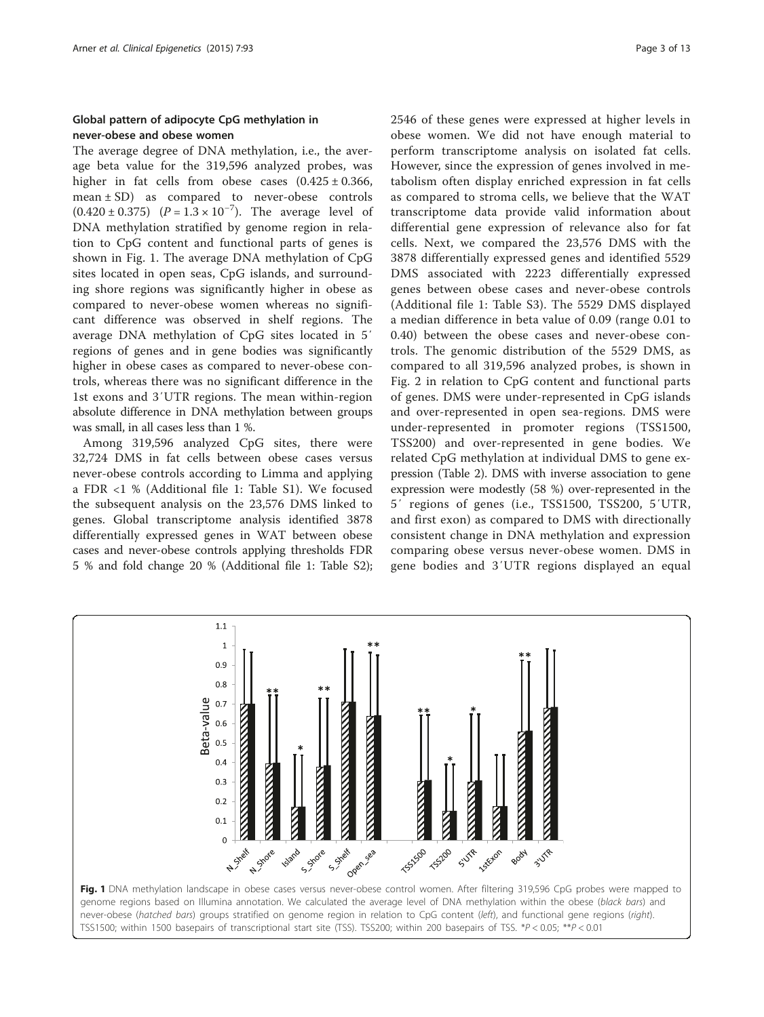# Global pattern of adipocyte CpG methylation in never-obese and obese women

The average degree of DNA methylation, i.e., the average beta value for the 319,596 analyzed probes, was higher in fat cells from obese cases  $(0.425 \pm 0.366,$ mean ± SD) as compared to never-obese controls  $(0.420 \pm 0.375)$   $(P = 1.3 \times 10^{-7})$ . The average level of DNA methylation stratified by genome region in relation to CpG content and functional parts of genes is shown in Fig. 1. The average DNA methylation of CpG sites located in open seas, CpG islands, and surrounding shore regions was significantly higher in obese as compared to never-obese women whereas no significant difference was observed in shelf regions. The average DNA methylation of CpG sites located in 5′ regions of genes and in gene bodies was significantly higher in obese cases as compared to never-obese controls, whereas there was no significant difference in the 1st exons and 3′UTR regions. The mean within-region absolute difference in DNA methylation between groups was small, in all cases less than 1 %.

Among 319,596 analyzed CpG sites, there were 32,724 DMS in fat cells between obese cases versus never-obese controls according to Limma and applying a FDR <1 % (Additional file [1](#page-11-0): Table S1). We focused the subsequent analysis on the 23,576 DMS linked to genes. Global transcriptome analysis identified 3878 differentially expressed genes in WAT between obese cases and never-obese controls applying thresholds FDR 5 % and fold change 20 % (Additional file [1](#page-11-0): Table S2); 2546 of these genes were expressed at higher levels in obese women. We did not have enough material to perform transcriptome analysis on isolated fat cells. However, since the expression of genes involved in metabolism often display enriched expression in fat cells as compared to stroma cells, we believe that the WAT transcriptome data provide valid information about differential gene expression of relevance also for fat cells. Next, we compared the 23,576 DMS with the 3878 differentially expressed genes and identified 5529 DMS associated with 2223 differentially expressed genes between obese cases and never-obese controls (Additional file [1](#page-11-0): Table S3). The 5529 DMS displayed a median difference in beta value of 0.09 (range 0.01 to 0.40) between the obese cases and never-obese controls. The genomic distribution of the 5529 DMS, as compared to all 319,596 analyzed probes, is shown in Fig. [2](#page-3-0) in relation to CpG content and functional parts of genes. DMS were under-represented in CpG islands and over-represented in open sea-regions. DMS were under-represented in promoter regions (TSS1500, TSS200) and over-represented in gene bodies. We related CpG methylation at individual DMS to gene expression (Table [2\)](#page-3-0). DMS with inverse association to gene expression were modestly (58 %) over-represented in the 5′ regions of genes (i.e., TSS1500, TSS200, 5′UTR, and first exon) as compared to DMS with directionally consistent change in DNA methylation and expression comparing obese versus never-obese women. DMS in gene bodies and 3′UTR regions displayed an equal

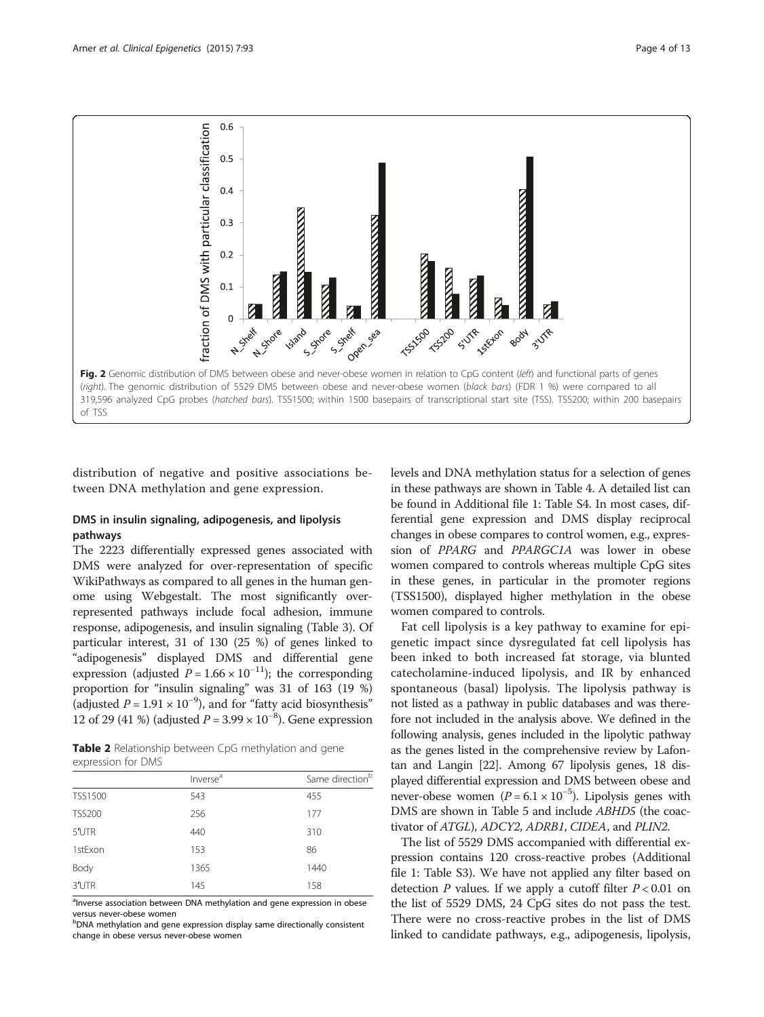<span id="page-3-0"></span>

distribution of negative and positive associations between DNA methylation and gene expression.

# DMS in insulin signaling, adipogenesis, and lipolysis pathways

The 2223 differentially expressed genes associated with DMS were analyzed for over-representation of specific WikiPathways as compared to all genes in the human genome using Webgestalt. The most significantly overrepresented pathways include focal adhesion, immune response, adipogenesis, and insulin signaling (Table [3\)](#page-4-0). Of particular interest, 31 of 130 (25 %) of genes linked to "adipogenesis" displayed DMS and differential gene expression (adjusted  $P = 1.66 \times 10^{-11}$ ); the corresponding proportion for "insulin signaling" was 31 of 163 (19 %) (adjusted  $P = 1.91 \times 10^{-9}$ ), and for "fatty acid biosynthesis" 12 of 29 (41 %) (adjusted  $P = 3.99 \times 10^{-8}$ ). Gene expression

Table 2 Relationship between CpG methylation and gene expression for DMS

|                | Inverse <sup>a</sup> | Same direction <sup>b</sup> |
|----------------|----------------------|-----------------------------|
| <b>TSS1500</b> | 543                  | 455                         |
| <b>TSS200</b>  | 256                  | 177                         |
| 5'UTR          | 440                  | 310                         |
| 1stExon        | 153                  | 86                          |
| Body           | 1365                 | 1440                        |
| 3'UTR          | 145                  | 158                         |
|                |                      |                             |

<sup>a</sup>Inverse association between DNA methylation and gene expression in obese versus never-obese women

<sup>b</sup>DNA methylation and gene expression display same directionally consistent change in obese versus never-obese women

levels and DNA methylation status for a selection of genes in these pathways are shown in Table [4.](#page-5-0) A detailed list can be found in Additional file [1:](#page-11-0) Table S4. In most cases, differential gene expression and DMS display reciprocal changes in obese compares to control women, e.g., expression of PPARG and PPARGC1A was lower in obese women compared to controls whereas multiple CpG sites in these genes, in particular in the promoter regions (TSS1500), displayed higher methylation in the obese women compared to controls.

Fat cell lipolysis is a key pathway to examine for epigenetic impact since dysregulated fat cell lipolysis has been inked to both increased fat storage, via blunted catecholamine-induced lipolysis, and IR by enhanced spontaneous (basal) lipolysis. The lipolysis pathway is not listed as a pathway in public databases and was therefore not included in the analysis above. We defined in the following analysis, genes included in the lipolytic pathway as the genes listed in the comprehensive review by Lafontan and Langin [[22](#page-12-0)]. Among 67 lipolysis genes, 18 displayed differential expression and DMS between obese and never-obese women  $(P = 6.1 \times 10^{-5})$ . Lipolysis genes with DMS are shown in Table [5](#page-7-0) and include ABHD5 (the coactivator of ATGL), ADCY2, ADRB1, CIDEA, and PLIN2.

The list of 5529 DMS accompanied with differential expression contains 120 cross-reactive probes (Additional file [1](#page-11-0): Table S3). We have not applied any filter based on detection P values. If we apply a cutoff filter  $P < 0.01$  on the list of 5529 DMS, 24 CpG sites do not pass the test. There were no cross-reactive probes in the list of DMS linked to candidate pathways, e.g., adipogenesis, lipolysis,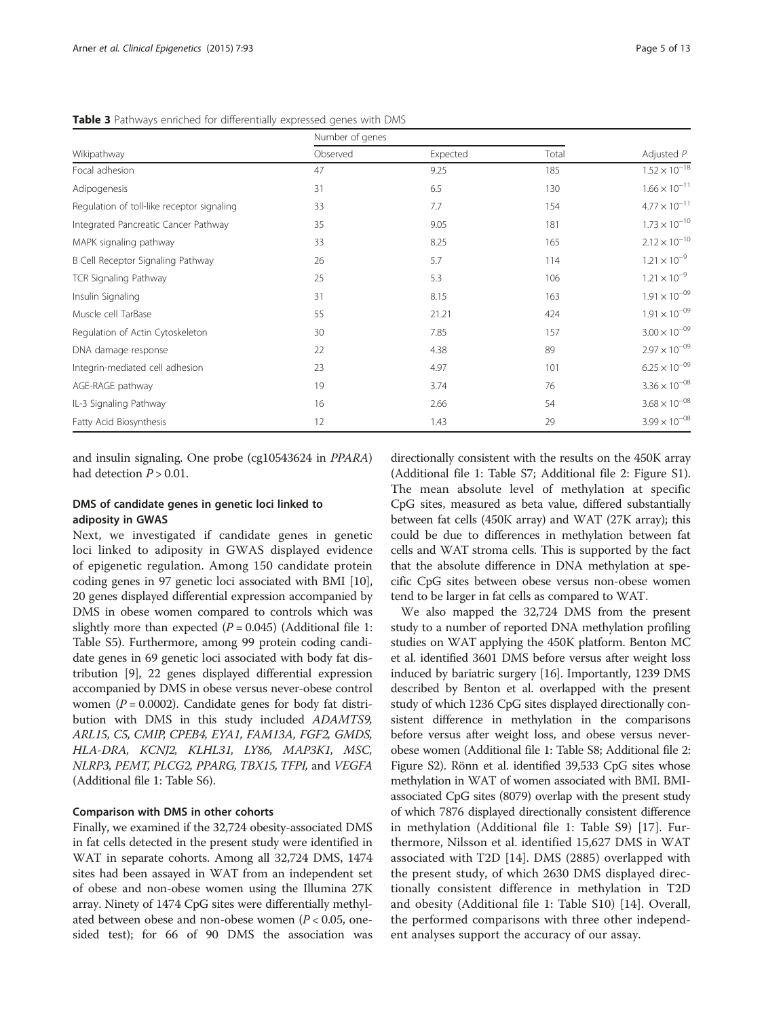<span id="page-4-0"></span>Table 3 Pathways enriched for differentially expressed genes with DMS

|                                            | Number of genes |          |       |                        |
|--------------------------------------------|-----------------|----------|-------|------------------------|
| Wikipathway                                | Observed        | Expected | Total | Adjusted $P$           |
| Focal adhesion                             | 47              | 9.25     | 185   | $1.52 \times 10^{-18}$ |
| Adipogenesis                               | 31              | 6.5      | 130   | $1.66 \times 10^{-11}$ |
| Regulation of toll-like receptor signaling | 33              | 7.7      | 154   | $4.77 \times 10^{-11}$ |
| Integrated Pancreatic Cancer Pathway       | 35              | 9.05     | 181   | $1.73 \times 10^{-10}$ |
| MAPK signaling pathway                     | 33              | 8.25     | 165   | $2.12 \times 10^{-10}$ |
| B Cell Receptor Signaling Pathway          | 26              | 5.7      | 114   | $1.21 \times 10^{-9}$  |
| <b>TCR Signaling Pathway</b>               | 25              | 5.3      | 106   | $1.21 \times 10^{-9}$  |
| Insulin Signaling                          | 31              | 8.15     | 163   | $1.91 \times 10^{-09}$ |
| Muscle cell TarBase                        | 55              | 21.21    | 424   | $1.91 \times 10^{-09}$ |
| Regulation of Actin Cytoskeleton           | 30              | 7.85     | 157   | $3.00 \times 10^{-09}$ |
| DNA damage response                        | 22              | 4.38     | 89    | $2.97 \times 10^{-09}$ |
| Integrin-mediated cell adhesion            | 23              | 4.97     | 101   | $6.25 \times 10^{-09}$ |
| AGE-RAGE pathway                           | 19              | 3.74     | 76    | $3.36 \times 10^{-08}$ |
| IL-3 Signaling Pathway                     | 16              | 2.66     | 54    | $3.68 \times 10^{-08}$ |
| Fatty Acid Biosynthesis                    | 12              | 1.43     | 29    | $3.99 \times 10^{-08}$ |

and insulin signaling. One probe (cg10543624 in PPARA) had detection  $P > 0.01$ .

# DMS of candidate genes in genetic loci linked to adiposity in GWAS

Next, we investigated if candidate genes in genetic loci linked to adiposity in GWAS displayed evidence of epigenetic regulation. Among 150 candidate protein coding genes in 97 genetic loci associated with BMI [[10](#page-11-0)], 20 genes displayed differential expression accompanied by DMS in obese women compared to controls which was slightly more than expected  $(P = 0.045)$  (Additional file [1](#page-11-0): Table S5). Furthermore, among 99 protein coding candidate genes in 69 genetic loci associated with body fat distribution [\[9](#page-11-0)], 22 genes displayed differential expression accompanied by DMS in obese versus never-obese control women ( $P = 0.0002$ ). Candidate genes for body fat distribution with DMS in this study included ADAMTS9, ARL15, C5, CMIP, CPEB4, EYA1, FAM13A, FGF2, GMDS, HLA-DRA, KCNJ2, KLHL31, LY86, MAP3K1, MSC, NLRP3, PEMT, PLCG2, PPARG, TBX15, TFPI, and VEGFA (Additional file [1](#page-11-0): Table S6).

## Comparison with DMS in other cohorts

Finally, we examined if the 32,724 obesity-associated DMS in fat cells detected in the present study were identified in WAT in separate cohorts. Among all 32,724 DMS, 1474 sites had been assayed in WAT from an independent set of obese and non-obese women using the Illumina 27K array. Ninety of 1474 CpG sites were differentially methylated between obese and non-obese women ( $P < 0.05$ , onesided test); for 66 of 90 DMS the association was

directionally consistent with the results on the 450K array (Additional file [1:](#page-11-0) Table S7; Additional file [2:](#page-11-0) Figure S1). The mean absolute level of methylation at specific CpG sites, measured as beta value, differed substantially between fat cells (450K array) and WAT (27K array); this could be due to differences in methylation between fat cells and WAT stroma cells. This is supported by the fact that the absolute difference in DNA methylation at specific CpG sites between obese versus non-obese women tend to be larger in fat cells as compared to WAT.

We also mapped the 32,724 DMS from the present study to a number of reported DNA methylation profiling studies on WAT applying the 450K platform. Benton MC et al. identified 3601 DMS before versus after weight loss induced by bariatric surgery [\[16\]](#page-11-0). Importantly, 1239 DMS described by Benton et al. overlapped with the present study of which 1236 CpG sites displayed directionally consistent difference in methylation in the comparisons before versus after weight loss, and obese versus neverobese women (Additional file [1:](#page-11-0) Table S8; Additional file [2](#page-11-0): Figure S2). Rönn et al. identified 39,533 CpG sites whose methylation in WAT of women associated with BMI. BMIassociated CpG sites (8079) overlap with the present study of which 7876 displayed directionally consistent difference in methylation (Additional file [1:](#page-11-0) Table S9) [[17\]](#page-11-0). Furthermore, Nilsson et al. identified 15,627 DMS in WAT associated with T2D [\[14](#page-11-0)]. DMS (2885) overlapped with the present study, of which 2630 DMS displayed directionally consistent difference in methylation in T2D and obesity (Additional file [1](#page-11-0): Table S10) [[14\]](#page-11-0). Overall, the performed comparisons with three other independent analyses support the accuracy of our assay.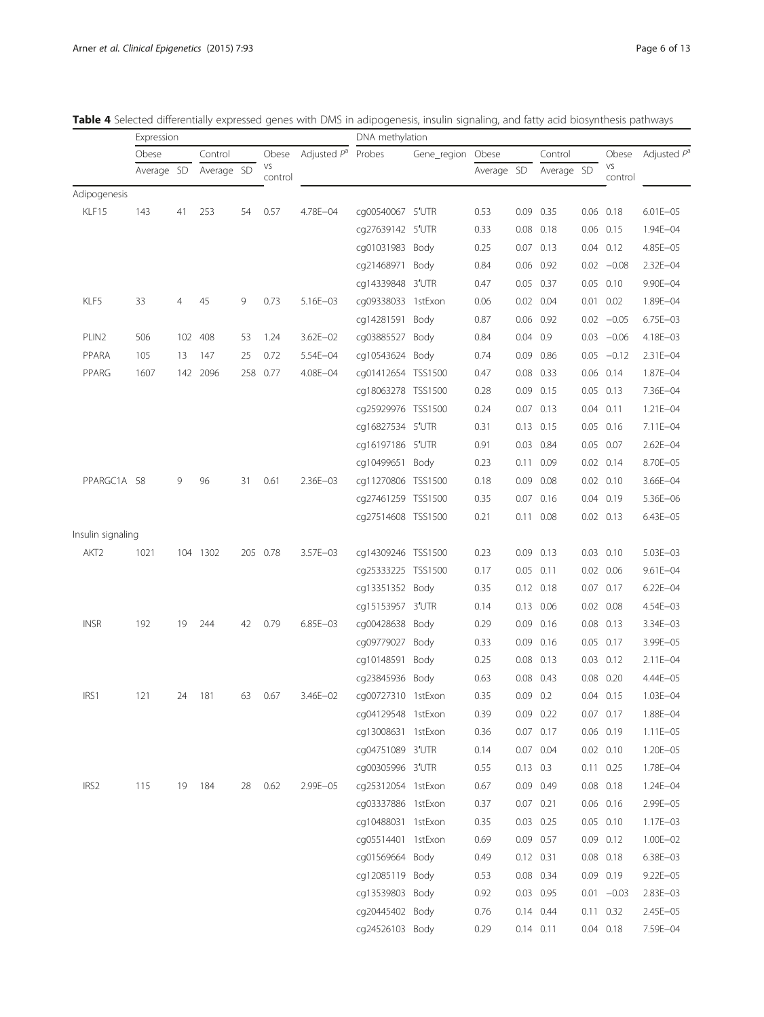<span id="page-5-0"></span>

|  |  |  | <b>Table 4</b> Selected differentially expressed genes with DMS in adipogenesis, insulin signaling, and fatty acid biosynthesis pathways |  |  |  |  |  |  |  |  |  |  |  |  |  |  |  |  |
|--|--|--|------------------------------------------------------------------------------------------------------------------------------------------|--|--|--|--|--|--|--|--|--|--|--|--|--|--|--|--|
|--|--|--|------------------------------------------------------------------------------------------------------------------------------------------|--|--|--|--|--|--|--|--|--|--|--|--|--|--|--|--|

|                   | Expression |                |            |    |               |                | DNA methylation    |             |            |            |               |      |               |                |
|-------------------|------------|----------------|------------|----|---------------|----------------|--------------------|-------------|------------|------------|---------------|------|---------------|----------------|
|                   | Obese      |                | Control    |    | Obese         | Adjusted $P^a$ | Probes             | Gene_region | Obese      |            | Control       |      | Obese         | Adjusted $P^a$ |
|                   | Average SD |                | Average SD |    | VS<br>control |                |                    |             | Average SD |            | Average SD    |      | VS<br>control |                |
| Adipogenesis      |            |                |            |    |               |                |                    |             |            |            |               |      |               |                |
| KLF15             | 143        | 41             | 253        | 54 | 0.57          | 4.78E-04       | cg00540067 5'UTR   |             | 0.53       |            | 0.09 0.35     |      | $0.06$ 0.18   | $6.01E - 05$   |
|                   |            |                |            |    |               |                | cg27639142 5'UTR   |             | 0.33       | 0.08       | 0.18          |      | $0.06$ 0.15   | 1.94E-04       |
|                   |            |                |            |    |               |                | cg01031983 Body    |             | 0.25       |            | $0.07$ $0.13$ |      | $0.04$ $0.12$ | 4.85E-05       |
|                   |            |                |            |    |               |                | cg21468971 Body    |             | 0.84       | 0.06       | 0.92          |      | $0.02 -0.08$  | 2.32E-04       |
|                   |            |                |            |    |               |                | cg14339848 3'UTR   |             | 0.47       | 0.05       | 0.37          |      | $0.05$ 0.10   | 9.90E-04       |
| KLF5              | 33         | $\overline{4}$ | 45         | 9  | 0.73          | 5.16E-03       | cq09338033 1stExon |             | 0.06       |            | $0.02$ 0.04   |      | $0.01$ 0.02   | 1.89E-04       |
|                   |            |                |            |    |               |                | cg14281591 Body    |             | 0.87       |            | 0.06 0.92     |      | $0.02 -0.05$  | 6.75E-03       |
| PLIN <sub>2</sub> | 506        | 102            | 408        | 53 | 1.24          | $3.62E - 02$   | cg03885527 Body    |             | 0.84       | 0.04       | 0.9           |      | $0.03 -0.06$  | 4.18E-03       |
| PPARA             | 105        | 13             | 147        | 25 | 0.72          | 5.54E-04       | cg10543624 Body    |             | 0.74       |            | 0.09 0.86     |      | $0.05 -0.12$  | 2.31E-04       |
| PPARG             | 1607       |                | 142 2096   |    | 258 0.77      | 4.08E-04       | cq01412654 TSS1500 |             | 0.47       |            | $0.08$ $0.33$ |      | $0.06$ $0.14$ | 1.87E-04       |
|                   |            |                |            |    |               |                | cg18063278 TSS1500 |             | 0.28       | 0.09       | 0.15          |      | $0.05$ $0.13$ | 7.36E-04       |
|                   |            |                |            |    |               |                | cq25929976 TSS1500 |             | 0.24       |            | $0.07$ $0.13$ |      | $0.04$ 0.11   | $1.21E - 04$   |
|                   |            |                |            |    |               |                | cq16827534 5'UTR   |             | 0.31       |            | $0.13$ $0.15$ |      | $0.05$ 0.16   | 7.11E-04       |
|                   |            |                |            |    |               |                | cq16197186 5'UTR   |             | 0.91       | 0.03       | 0.84          |      | 0.05 0.07     | $2.62E - 04$   |
|                   |            |                |            |    |               |                | cg10499651 Body    |             | 0.23       |            | $0.11$ 0.09   |      | $0.02$ $0.14$ | 8.70E-05       |
| PPARGC1A 58       |            | 9              | 96         | 31 | 0.61          | 2.36E-03       | cq11270806 TSS1500 |             | 0.18       | 0.09       | 0.08          |      | $0.02$ $0.10$ | 3.66E-04       |
|                   |            |                |            |    |               |                | cg27461259 TSS1500 |             | 0.35       | 0.07       | 0.16          | 0.04 | 0.19          | 5.36E-06       |
|                   |            |                |            |    |               |                | cg27514608 TSS1500 |             | 0.21       |            | $0.11$ 0.08   |      | $0.02$ $0.13$ | 6.43E-05       |
| Insulin signaling |            |                |            |    |               |                |                    |             |            |            |               |      |               |                |
| AKT <sub>2</sub>  | 1021       |                | 104 1302   |    | 205 0.78      | $3.57E - 03$   | cq14309246 TSS1500 |             | 0.23       | 0.09       | 0.13          |      | $0.03$ 0.10   | 5.03E-03       |
|                   |            |                |            |    |               |                | cq25333225 TSS1500 |             | 0.17       |            | $0.05$ 0.11   |      | $0.02$ 0.06   | $9.61E - 04$   |
|                   |            |                |            |    |               |                | cg13351352 Body    |             | 0.35       |            | $0.12$ $0.18$ |      | $0.07$ 0.17   | $6.22E - 04$   |
|                   |            |                |            |    |               |                | cg15153957 3'UTR   |             | 0.14       |            | 0.13 0.06     |      | $0.02$ 0.08   | $4.54E - 03$   |
| <b>INSR</b>       | 192        | 19             | 244        | 42 | 0.79          | $6.85E - 03$   | cg00428638 Body    |             | 0.29       |            | $0.09$ $0.16$ |      | $0.08$ 0.13   | 3.34E-03       |
|                   |            |                |            |    |               |                | cg09779027 Body    |             | 0.33       | 0.09       | 0.16          |      | 0.05 0.17     | 3.99E-05       |
|                   |            |                |            |    |               |                | cg10148591 Body    |             | 0.25       | 0.08       | 0.13          |      | $0.03$ $0.12$ | $2.11E - 04$   |
|                   |            |                |            |    |               |                | cq23845936 Body    |             | 0.63       | 0.08       | 0.43          | 0.08 | 0.20          | 4.44E-05       |
| IRS1              | 121        | 24             | 181        | 63 | 0.67          | 3.46E-02       | cq00727310 1stExon |             | 0.35       | $0.09$ 0.2 |               |      | 0.04 0.15     | $1.03E - 04$   |
|                   |            |                |            |    |               |                | cg04129548 1stExon |             | 0.39       |            | 0.09 0.22     |      | $0.07$ 0.17   | 1.88E-04       |
|                   |            |                |            |    |               |                | cg13008631 1stExon |             | 0.36       |            | 0.07 0.17     |      | 0.06 0.19     | $1.11E - 05$   |
|                   |            |                |            |    |               |                | cg04751089 3'UTR   |             | 0.14       |            | 0.07 0.04     |      | $0.02$ 0.10   | 1.20E-05       |
|                   |            |                |            |    |               |                | cq00305996 3'UTR   |             | 0.55       | $0.13$ 0.3 |               |      | $0.11$ 0.25   | 1.78E-04       |
| IRS2              | 115        | 19             | 184        | 28 | 0.62          | 2.99E-05       | cg25312054 1stExon |             | 0.67       |            | 0.09 0.49     |      | $0.08$ 0.18   | 1.24E-04       |
|                   |            |                |            |    |               |                | cg03337886 1stExon |             | 0.37       |            | 0.07 0.21     |      | $0.06$ 0.16   | 2.99E-05       |
|                   |            |                |            |    |               |                | cg10488031 1stExon |             | 0.35       |            | $0.03$ 0.25   |      | $0.05$ 0.10   | 1.17E-03       |
|                   |            |                |            |    |               |                | cg05514401 1stExon |             | 0.69       |            | 0.09 0.57     |      | $0.09$ $0.12$ | 1.00E-02       |
|                   |            |                |            |    |               |                | cg01569664 Body    |             | 0.49       |            | 0.12 0.31     |      | $0.08$ 0.18   | 6.38E-03       |
|                   |            |                |            |    |               |                | cg12085119 Body    |             | 0.53       |            | 0.08 0.34     |      | $0.09$ 0.19   | $9.22E - 05$   |
|                   |            |                |            |    |               |                | cg13539803 Body    |             | 0.92       |            | 0.03 0.95     |      | $0.01 - 0.03$ | 2.83E-03       |
|                   |            |                |            |    |               |                | cg20445402 Body    |             | 0.76       |            | 0.14 0.44     |      | $0.11$ $0.32$ | 2.45E-05       |
|                   |            |                |            |    |               |                | cg24526103 Body    |             | 0.29       |            | $0.14$ $0.11$ |      | $0.04$ 0.18   | 7.59E-04       |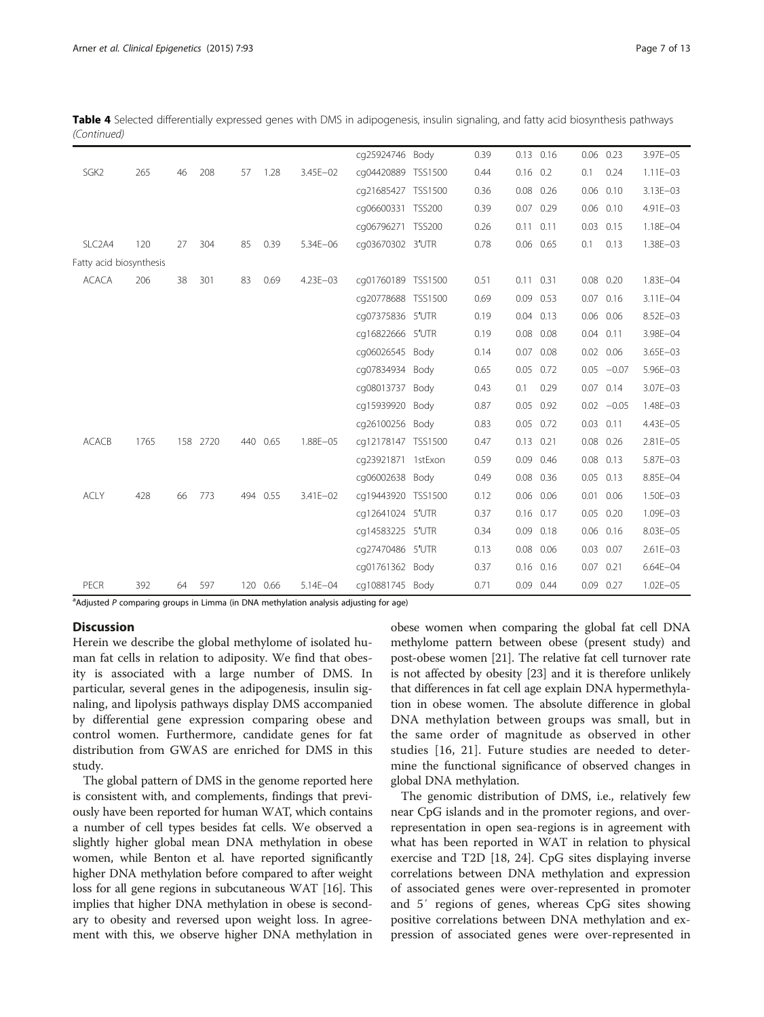Table 4 Selected differentially expressed genes with DMS in adipogenesis, insulin signaling, and fatty acid biosynthesis pathways (Continued)

|                         |      |    |          |    |          |              | cq25924746 Body    | 0.39 |               | $0.13$ $0.16$ |               | $0.06$ 0.23   | 3.97E-05     |
|-------------------------|------|----|----------|----|----------|--------------|--------------------|------|---------------|---------------|---------------|---------------|--------------|
| SGK <sub>2</sub>        | 265  | 46 | 208      | 57 | 1.28     | 3.45E-02     | cq04420889 TSS1500 | 0.44 | $0.16$ 0.2    |               | 0.1           | 0.24          | $1.11E - 03$ |
|                         |      |    |          |    |          |              | cq21685427 TSS1500 | 0.36 |               | $0.08$ 0.26   |               | $0.06$ $0.10$ | $3.13E - 03$ |
|                         |      |    |          |    |          |              | cq06600331 TSS200  | 0.39 |               | $0.07$ 0.29   |               | $0.06$ 0.10   | 4.91E-03     |
|                         |      |    |          |    |          |              | cg06796271 TSS200  | 0.26 | $0.11$ $0.11$ |               |               | $0.03$ 0.15   | 1.18E-04     |
| SLC <sub>2</sub> A4     | 120  | 27 | 304      | 85 | 0.39     | $5.34E - 06$ | cq03670302 3'UTR   | 0.78 |               | 0.06 0.65     | 0.1           | 0.13          | 1.38E-03     |
| Fatty acid biosynthesis |      |    |          |    |          |              |                    |      |               |               |               |               |              |
| <b>ACACA</b>            | 206  | 38 | 301      | 83 | 0.69     | 4.23E-03     | cq01760189 TSS1500 | 0.51 | $0.11$ $0.31$ |               |               | $0.08$ 0.20   | 1.83E-04     |
|                         |      |    |          |    |          |              | cq20778688 TSS1500 | 0.69 |               | 0.09 0.53     |               | 0.07 0.16     | $3.11E - 04$ |
|                         |      |    |          |    |          |              | cq07375836 5'UTR   | 0.19 |               | $0.04$ $0.13$ |               | 0.06 0.06     | 8.52E-03     |
|                         |      |    |          |    |          |              | cq16822666 5'UTR   | 0.19 |               | $0.08$ 0.08   | $0.04$ $0.11$ |               | 3.98E-04     |
|                         |      |    |          |    |          |              | cq06026545 Body    | 0.14 |               | $0.07$ 0.08   |               | $0.02$ 0.06   | 3.65E-03     |
|                         |      |    |          |    |          |              | cq07834934 Body    | 0.65 |               | 0.05 0.72     |               | $0.05 -0.07$  | 5.96E-03     |
|                         |      |    |          |    |          |              | cq08013737 Body    | 0.43 | 0.1           | 0.29          |               | $0.07$ $0.14$ | 3.07E-03     |
|                         |      |    |          |    |          |              | cq15939920 Body    | 0.87 |               | $0.05$ 0.92   |               | $0.02 -0.05$  | 1.48E-03     |
|                         |      |    |          |    |          |              | cq26100256 Body    | 0.83 |               | $0.05$ 0.72   | $0.03$ $0.11$ |               | 4.43E-05     |
| <b>ACACB</b>            | 1765 |    | 158 2720 |    | 440 0.65 | 1.88E-05     | cq12178147 TSS1500 | 0.47 | $0.13$ $0.21$ |               |               | $0.08$ 0.26   | 2.81E-05     |
|                         |      |    |          |    |          |              | cq23921871 1stExon | 0.59 |               | 0.09 0.46     |               | $0.08$ $0.13$ | 5.87E-03     |
|                         |      |    |          |    |          |              | cq06002638 Body    | 0.49 |               | 0.08 0.36     |               | $0.05$ $0.13$ | 8.85E-04     |
| <b>ACLY</b>             | 428  | 66 | 773      |    | 494 0.55 | 3.41E-02     | cq19443920 TSS1500 | 0.12 |               | $0.06$ 0.06   |               | $0.01$ 0.06   | 1.50E-03     |
|                         |      |    |          |    |          |              | cq12641024 5'UTR   | 0.37 |               | $0.16$ 0.17   |               | $0.05$ 0.20   | $1.09E - 03$ |
|                         |      |    |          |    |          |              | cq14583225 5'UTR   | 0.34 |               | $0.09$ $0.18$ |               | $0.06$ $0.16$ | 8.03E-05     |
|                         |      |    |          |    |          |              | cq27470486 5'UTR   | 0.13 |               | $0.08$ 0.06   |               | $0.03$ 0.07   | $2.61E - 03$ |
|                         |      |    |          |    |          |              | cq01761362 Body    | 0.37 |               | $0.16$ $0.16$ | $0.07$ 0.21   |               | $6.64E - 04$ |
| PECR                    | 392  | 64 | 597      |    | 120 0.66 | 5.14E-04     | cq10881745 Body    | 0.71 |               | 0.09 0.44     |               | $0.09$ 0.27   | $1.02E - 05$ |

<sup>a</sup>Adjusted P comparing groups in Limma (in DNA methylation analysis adjusting for age)

#### **Discussion**

Herein we describe the global methylome of isolated human fat cells in relation to adiposity. We find that obesity is associated with a large number of DMS. In particular, several genes in the adipogenesis, insulin signaling, and lipolysis pathways display DMS accompanied by differential gene expression comparing obese and control women. Furthermore, candidate genes for fat distribution from GWAS are enriched for DMS in this study.

The global pattern of DMS in the genome reported here is consistent with, and complements, findings that previously have been reported for human WAT, which contains a number of cell types besides fat cells. We observed a slightly higher global mean DNA methylation in obese women, while Benton et al. have reported significantly higher DNA methylation before compared to after weight loss for all gene regions in subcutaneous WAT [[16](#page-11-0)]. This implies that higher DNA methylation in obese is secondary to obesity and reversed upon weight loss. In agreement with this, we observe higher DNA methylation in obese women when comparing the global fat cell DNA methylome pattern between obese (present study) and post-obese women [\[21\]](#page-12-0). The relative fat cell turnover rate is not affected by obesity [[23](#page-12-0)] and it is therefore unlikely that differences in fat cell age explain DNA hypermethylation in obese women. The absolute difference in global DNA methylation between groups was small, but in the same order of magnitude as observed in other studies [\[16,](#page-11-0) [21\]](#page-12-0). Future studies are needed to determine the functional significance of observed changes in global DNA methylation.

The genomic distribution of DMS, i.e., relatively few near CpG islands and in the promoter regions, and overrepresentation in open sea-regions is in agreement with what has been reported in WAT in relation to physical exercise and T2D [[18](#page-12-0), [24](#page-12-0)]. CpG sites displaying inverse correlations between DNA methylation and expression of associated genes were over-represented in promoter and 5′ regions of genes, whereas CpG sites showing positive correlations between DNA methylation and expression of associated genes were over-represented in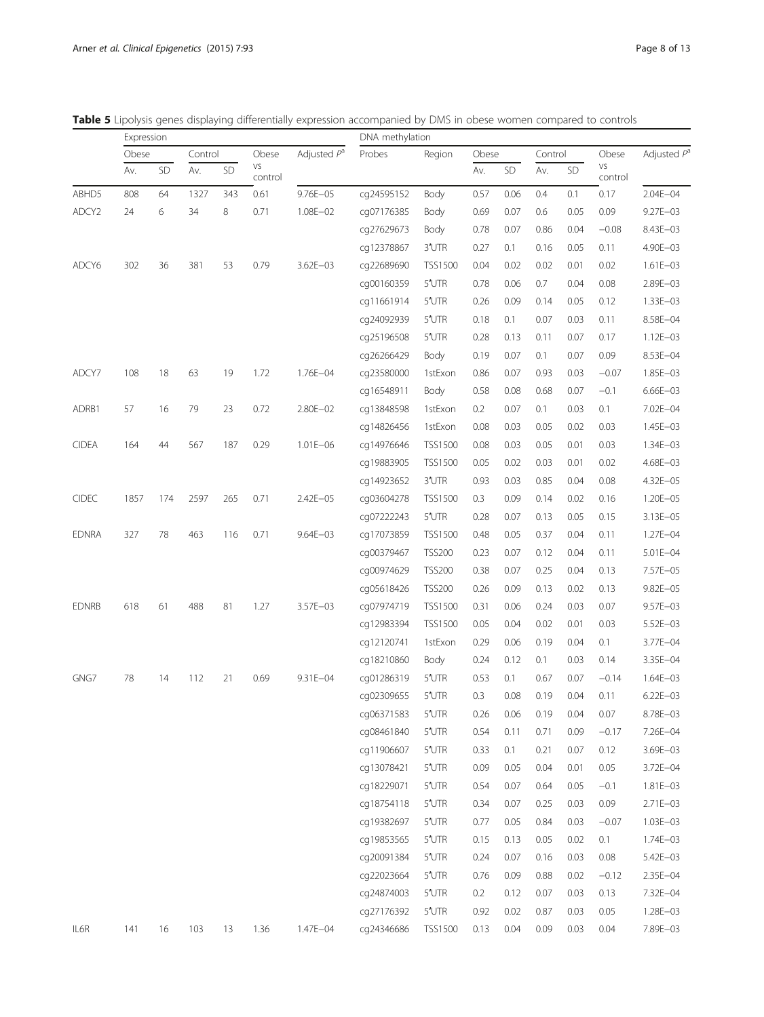<span id="page-7-0"></span>

|  |  |  |  |  |  |  |  | <b>Table 5</b> Lipolysis genes displaving differentially expression accompanied by DMS in obese women compared to controls |  |  |  |  |  |  |
|--|--|--|--|--|--|--|--|----------------------------------------------------------------------------------------------------------------------------|--|--|--|--|--|--|
|--|--|--|--|--|--|--|--|----------------------------------------------------------------------------------------------------------------------------|--|--|--|--|--|--|

|              | Expression |     |         |           |               |               | DNA methylation |                  |       |      |         |           |               |                |  |
|--------------|------------|-----|---------|-----------|---------------|---------------|-----------------|------------------|-------|------|---------|-----------|---------------|----------------|--|
|              | Obese      |     | Control |           | Obese         | Adjusted $Pa$ | Probes          | Region           | Obese |      | Control |           | Obese         | Adjusted $P^a$ |  |
|              | Av.        | SD  | Av.     | <b>SD</b> | VS<br>control |               |                 |                  | Av.   | SD   | Av.     | <b>SD</b> | VS<br>control |                |  |
| ABHD5        | 808        | 64  | 1327    | 343       | 0.61          | 9.76E-05      | cq24595152      | Body             | 0.57  | 0.06 | 0.4     | 0.1       | 0.17          | $2.04E - 04$   |  |
| ADCY2        | 24         | 6   | 34      | 8         | 0.71          | 1.08E-02      | cg07176385      | Body             | 0.69  | 0.07 | 0.6     | 0.05      | 0.09          | $9.27E - 03$   |  |
|              |            |     |         |           |               |               | cg27629673      | Body             | 0.78  | 0.07 | 0.86    | 0.04      | $-0.08$       | 8.43E-03       |  |
|              |            |     |         |           |               |               | cg12378867      | 3'UTR            | 0.27  | 0.1  | 0.16    | 0.05      | 0.11          | 4.90E-03       |  |
| ADCY6        | 302        | 36  | 381     | 53        | 0.79          | $3.62E - 03$  | cg22689690      | <b>TSS1500</b>   | 0.04  | 0.02 | 0.02    | 0.01      | 0.02          | $1.61E - 03$   |  |
|              |            |     |         |           |               |               | cq00160359      | $5'$ UTR         | 0.78  | 0.06 | 0.7     | 0.04      | 0.08          | 2.89E-03       |  |
|              |            |     |         |           |               |               | cq11661914      | 5'UTR            | 0.26  | 0.09 | 0.14    | 0.05      | 0.12          | $1.33E - 03$   |  |
|              |            |     |         |           |               |               | cq24092939      | $5'$ UTR         | 0.18  | 0.1  | 0.07    | 0.03      | 0.11          | 8.58E-04       |  |
|              |            |     |         |           |               |               | cq25196508      | 5'UTR            | 0.28  | 0.13 | 0.11    | 0.07      | 0.17          | $1.12E - 03$   |  |
|              |            |     |         |           |               |               | cg26266429      | Body             | 0.19  | 0.07 | 0.1     | 0.07      | 0.09          | 8.53E-04       |  |
| ADCY7        | 108        | 18  | 63      | 19        | 1.72          | 1.76E-04      | cq23580000      | 1stExon          | 0.86  | 0.07 | 0.93    | 0.03      | $-0.07$       | 1.85E-03       |  |
|              |            |     |         |           |               |               | cq16548911      | Body             | 0.58  | 0.08 | 0.68    | 0.07      | $-0.1$        | $6.66E - 03$   |  |
| ADRB1        | 57         | 16  | 79      | 23        | 0.72          | 2.80E-02      | cg13848598      | 1stExon          | 0.2   | 0.07 | 0.1     | 0.03      | 0.1           | 7.02E-04       |  |
|              |            |     |         |           |               |               | cq14826456      | 1stExon          | 0.08  | 0.03 | 0.05    | 0.02      | 0.03          | $1.45E - 03$   |  |
| <b>CIDEA</b> | 164        | 44  | 567     | 187       | 0.29          | $1.01E - 06$  | cq14976646      | TSS1500          | 0.08  | 0.03 | 0.05    | 0.01      | 0.03          | $1.34E - 03$   |  |
|              |            |     |         |           |               |               | cg19883905      | TSS1500          | 0.05  | 0.02 | 0.03    | 0.01      | 0.02          | 4.68E-03       |  |
|              |            |     |         |           |               |               | cq14923652      | 3'UTR            | 0.93  | 0.03 | 0.85    | 0.04      | 0.08          | 4.32E-05       |  |
| CIDEC        | 1857       | 174 | 2597    | 265       | 0.71          | 2.42E-05      | cg03604278      | <b>TSS1500</b>   | 0.3   | 0.09 | 0.14    | 0.02      | 0.16          | 1.20E-05       |  |
|              |            |     |         |           |               |               | cg07222243      | $5'$ UTR         | 0.28  | 0.07 | 0.13    | 0.05      | 0.15          | 3.13E-05       |  |
| <b>EDNRA</b> | 327        | 78  | 463     | 116       | 0.71          | $9.64E - 03$  | cq17073859      | <b>TSS1500</b>   | 0.48  | 0.05 | 0.37    | 0.04      | 0.11          | $1.27E - 04$   |  |
|              |            |     |         |           |               |               | cg00379467      | <b>TSS200</b>    | 0.23  | 0.07 | 0.12    | 0.04      | 0.11          | 5.01E-04       |  |
|              |            |     |         |           |               |               | cq00974629      | <b>TSS200</b>    | 0.38  | 0.07 | 0.25    | 0.04      | 0.13          | 7.57E-05       |  |
|              |            |     |         |           |               |               | cq05618426      | <b>TSS200</b>    | 0.26  | 0.09 | 0.13    | 0.02      | 0.13          | 9.82E-05       |  |
| <b>EDNRB</b> | 618        | 61  | 488     | 81        | 1.27          | 3.57E-03      | cq07974719      | <b>TSS1500</b>   | 0.31  | 0.06 | 0.24    | 0.03      | 0.07          | 9.57E-03       |  |
|              |            |     |         |           |               |               | cg12983394      | <b>TSS1500</b>   | 0.05  | 0.04 | 0.02    | 0.01      | 0.03          | 5.52E-03       |  |
|              |            |     |         |           |               |               | cg12120741      | 1stExon          | 0.29  | 0.06 | 0.19    | 0.04      | 0.1           | 3.77E-04       |  |
|              |            |     |         |           |               |               | cq18210860      | Body             | 0.24  | 0.12 | 0.1     | 0.03      | 0.14          | 3.35E-04       |  |
| GNG7         | 78         | 14  | 112     | 21        | 0.69          | $9.31E - 04$  | cg01286319      | $5'$ UTR         | 0.53  | 0.1  | 0.67    | 0.07      | $-0.14$       | $1.64E - 03$   |  |
|              |            |     |         |           |               |               | cq02309655      | 5'UTR            | 0.3   | 0.08 | 0.19    | 0.04      | 0.11          | $6.22E - 03$   |  |
|              |            |     |         |           |               |               | cg06371583      | $5'$ UTR         | 0.26  | 0.06 | 0.19    | 0.04      | 0.07          | 8.78E-03       |  |
|              |            |     |         |           |               |               | cg08461840      | $5^{\prime}$ UTR | 0.54  | 0.11 | 0.71    | 0.09      | $-0.17$       | 7.26E-04       |  |
|              |            |     |         |           |               |               | cg11906607      | 5'UTR            | 0.33  | 0.1  | 0.21    | 0.07      | 0.12          | 3.69E-03       |  |
|              |            |     |         |           |               |               | cg13078421      | 5'UTR            | 0.09  | 0.05 | 0.04    | 0.01      | 0.05          | 3.72E-04       |  |
|              |            |     |         |           |               |               | cg18229071      | 5'UTR            | 0.54  | 0.07 | 0.64    | 0.05      | $-0.1$        | 1.81E-03       |  |
|              |            |     |         |           |               |               | cq18754118      | 5'UTR            | 0.34  | 0.07 | 0.25    | 0.03      | 0.09          | 2.71E-03       |  |
|              |            |     |         |           |               |               | cg19382697      | 5'UTR            | 0.77  | 0.05 | 0.84    | 0.03      | $-0.07$       | $1.03E - 03$   |  |
|              |            |     |         |           |               |               | cg19853565      | $5^{\prime}$ UTR | 0.15  | 0.13 | 0.05    | 0.02      | 0.1           | 1.74E-03       |  |
|              |            |     |         |           |               |               | cg20091384      | 5'UTR            | 0.24  | 0.07 | 0.16    | 0.03      | 0.08          | 5.42E-03       |  |
|              |            |     |         |           |               |               | cg22023664      | 5'UTR            | 0.76  | 0.09 | 0.88    | 0.02      | $-0.12$       | 2.35E-04       |  |
|              |            |     |         |           |               |               | cg24874003      | 5'UTR            | 0.2   | 0.12 | 0.07    | 0.03      | 0.13          | 7.32E-04       |  |
|              |            |     |         |           |               |               | cg27176392      | 5'UTR            | 0.92  | 0.02 | 0.87    | 0.03      | 0.05          | 1.28E-03       |  |
| IL6R         | 141        | 16  | 103     | 13        | 1.36          | 1.47E-04      | cg24346686      | <b>TSS1500</b>   | 0.13  | 0.04 | 0.09    | 0.03      | 0.04          | 7.89E-03       |  |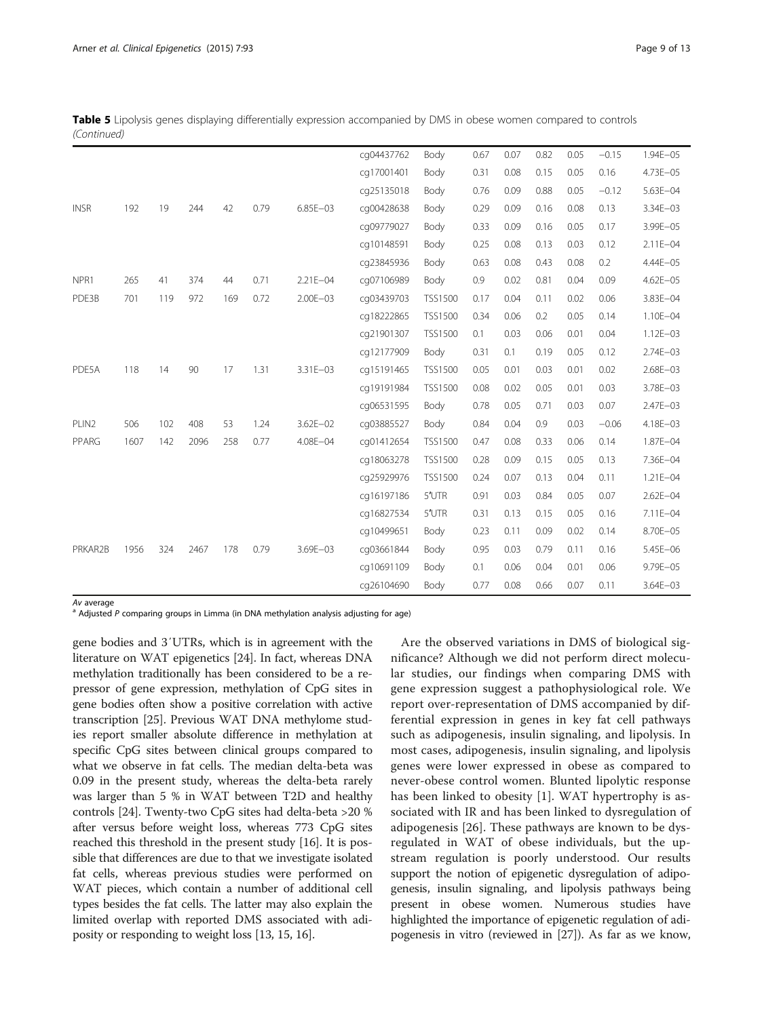|             |  | Table 5 Lipolysis genes displaying differentially expression accompanied by DMS in obese women compared to controls |
|-------------|--|---------------------------------------------------------------------------------------------------------------------|
| (Continued) |  |                                                                                                                     |

|             |      |     |      |     |      |              | cq04437762 | Body           | 0.67 | 0.07 | 0.82 | 0.05 | $-0.15$ | $1.94E - 05$ |
|-------------|------|-----|------|-----|------|--------------|------------|----------------|------|------|------|------|---------|--------------|
|             |      |     |      |     |      |              | cq17001401 | Body           | 0.31 | 0.08 | 0.15 | 0.05 | 0.16    | 4.73E-05     |
|             |      |     |      |     |      |              | cq25135018 | Body           | 0.76 | 0.09 | 0.88 | 0.05 | $-0.12$ | 5.63E-04     |
| <b>INSR</b> | 192  | 19  | 244  | 42  | 0.79 | $6.85E - 03$ | cg00428638 | Body           | 0.29 | 0.09 | 0.16 | 0.08 | 0.13    | 3.34E-03     |
|             |      |     |      |     |      |              | cq09779027 | Body           | 0.33 | 0.09 | 0.16 | 0.05 | 0.17    | 3.99E-05     |
|             |      |     |      |     |      |              | cq10148591 | Body           | 0.25 | 0.08 | 0.13 | 0.03 | 0.12    | $2.11E - 04$ |
|             |      |     |      |     |      |              | cq23845936 | Body           | 0.63 | 0.08 | 0.43 | 0.08 | 0.2     | 4.44E-05     |
| NPR1        | 265  | 41  | 374  | 44  | 0.71 | $2.21E - 04$ | cg07106989 | Body           | 0.9  | 0.02 | 0.81 | 0.04 | 0.09    | $4.62E - 05$ |
| PDE3B       | 701  | 119 | 972  | 169 | 0.72 | $2.00E - 03$ | cg03439703 | <b>TSS1500</b> | 0.17 | 0.04 | 0.11 | 0.02 | 0.06    | 3.83E-04     |
|             |      |     |      |     |      |              | cq18222865 | <b>TSS1500</b> | 0.34 | 0.06 | 0.2  | 0.05 | 0.14    | 1.10E-04     |
|             |      |     |      |     |      |              | cq21901307 | <b>TSS1500</b> | 0.1  | 0.03 | 0.06 | 0.01 | 0.04    | $1.12E - 03$ |
|             |      |     |      |     |      |              | cq12177909 | Body           | 0.31 | 0.1  | 0.19 | 0.05 | 0.12    | 2.74E-03     |
| PDE5A       | 118  | 14  | 90   | 17  | 1.31 | 3.31E-03     | cq15191465 | <b>TSS1500</b> | 0.05 | 0.01 | 0.03 | 0.01 | 0.02    | $2.68E - 03$ |
|             |      |     |      |     |      |              | cq19191984 | <b>TSS1500</b> | 0.08 | 0.02 | 0.05 | 0.01 | 0.03    | 3.78E-03     |
|             |      |     |      |     |      |              | cg06531595 | Body           | 0.78 | 0.05 | 0.71 | 0.03 | 0.07    | 2.47E-03     |
| PLIN2       | 506  | 102 | 408  | 53  | 1.24 | $3.62E - 02$ | cq03885527 | Body           | 0.84 | 0.04 | 0.9  | 0.03 | $-0.06$ | 4.18E-03     |
| PPARG       | 1607 | 142 | 2096 | 258 | 0.77 | 4.08E-04     | cg01412654 | <b>TSS1500</b> | 0.47 | 0.08 | 0.33 | 0.06 | 0.14    | 1.87E-04     |
|             |      |     |      |     |      |              | cg18063278 | <b>TSS1500</b> | 0.28 | 0.09 | 0.15 | 0.05 | 0.13    | 7.36E-04     |
|             |      |     |      |     |      |              | cq25929976 | TSS1500        | 0.24 | 0.07 | 0.13 | 0.04 | 0.11    | $1.21E - 04$ |
|             |      |     |      |     |      |              | cq16197186 | 5'UTR          | 0.91 | 0.03 | 0.84 | 0.05 | 0.07    | $2.62E - 04$ |
|             |      |     |      |     |      |              | cq16827534 | 5'UTR          | 0.31 | 0.13 | 0.15 | 0.05 | 0.16    | 7.11E-04     |
|             |      |     |      |     |      |              | cq10499651 | Body           | 0.23 | 0.11 | 0.09 | 0.02 | 0.14    | 8.70E-05     |
| PRKAR2B     | 1956 | 324 | 2467 | 178 | 0.79 | $3.69E - 03$ | cq03661844 | Body           | 0.95 | 0.03 | 0.79 | 0.11 | 0.16    | 5.45E-06     |
|             |      |     |      |     |      |              | cq10691109 | Body           | 0.1  | 0.06 | 0.04 | 0.01 | 0.06    | 9.79E-05     |
|             |      |     |      |     |      |              | cq26104690 | Body           | 0.77 | 0.08 | 0.66 | 0.07 | 0.11    | $3.64E - 03$ |

Av average<br><sup>a</sup> Adjusted P comparing groups in Limma (in DNA methylation analysis adjusting for age)

gene bodies and 3′UTRs, which is in agreement with the literature on WAT epigenetics [\[24\]](#page-12-0). In fact, whereas DNA methylation traditionally has been considered to be a repressor of gene expression, methylation of CpG sites in gene bodies often show a positive correlation with active transcription [[25](#page-12-0)]. Previous WAT DNA methylome studies report smaller absolute difference in methylation at specific CpG sites between clinical groups compared to what we observe in fat cells. The median delta-beta was 0.09 in the present study, whereas the delta-beta rarely was larger than 5 % in WAT between T2D and healthy controls [\[24\]](#page-12-0). Twenty-two CpG sites had delta-beta >20 % after versus before weight loss, whereas 773 CpG sites reached this threshold in the present study [\[16](#page-11-0)]. It is possible that differences are due to that we investigate isolated fat cells, whereas previous studies were performed on WAT pieces, which contain a number of additional cell types besides the fat cells. The latter may also explain the limited overlap with reported DMS associated with adiposity or responding to weight loss [\[13, 15, 16](#page-11-0)].

Are the observed variations in DMS of biological significance? Although we did not perform direct molecular studies, our findings when comparing DMS with gene expression suggest a pathophysiological role. We report over-representation of DMS accompanied by differential expression in genes in key fat cell pathways such as adipogenesis, insulin signaling, and lipolysis. In most cases, adipogenesis, insulin signaling, and lipolysis genes were lower expressed in obese as compared to never-obese control women. Blunted lipolytic response has been linked to obesity [[1\]](#page-11-0). WAT hypertrophy is associated with IR and has been linked to dysregulation of adipogenesis [\[26](#page-12-0)]. These pathways are known to be dysregulated in WAT of obese individuals, but the upstream regulation is poorly understood. Our results support the notion of epigenetic dysregulation of adipogenesis, insulin signaling, and lipolysis pathways being present in obese women. Numerous studies have highlighted the importance of epigenetic regulation of adipogenesis in vitro (reviewed in [\[27](#page-12-0)]). As far as we know,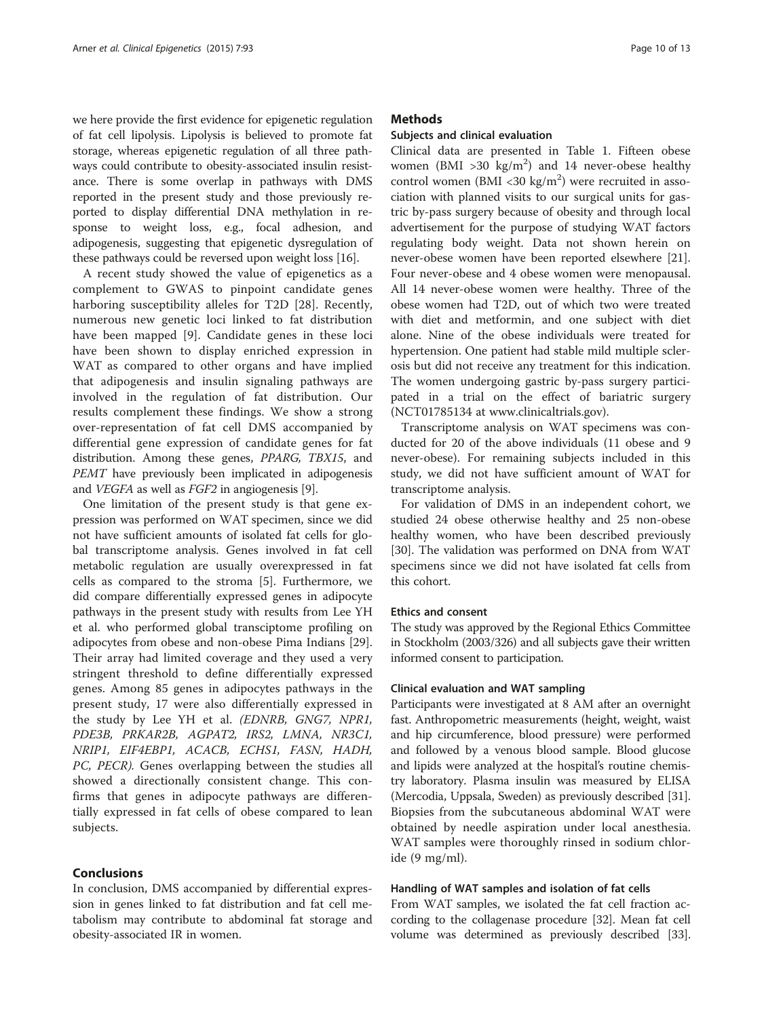we here provide the first evidence for epigenetic regulation of fat cell lipolysis. Lipolysis is believed to promote fat storage, whereas epigenetic regulation of all three pathways could contribute to obesity-associated insulin resistance. There is some overlap in pathways with DMS reported in the present study and those previously reported to display differential DNA methylation in response to weight loss, e.g., focal adhesion, and adipogenesis, suggesting that epigenetic dysregulation of these pathways could be reversed upon weight loss [\[16\]](#page-11-0).

A recent study showed the value of epigenetics as a complement to GWAS to pinpoint candidate genes harboring susceptibility alleles for T2D [[28\]](#page-12-0). Recently, numerous new genetic loci linked to fat distribution have been mapped [[9](#page-11-0)]. Candidate genes in these loci have been shown to display enriched expression in WAT as compared to other organs and have implied that adipogenesis and insulin signaling pathways are involved in the regulation of fat distribution. Our results complement these findings. We show a strong over-representation of fat cell DMS accompanied by differential gene expression of candidate genes for fat distribution. Among these genes, PPARG, TBX15, and PEMT have previously been implicated in adipogenesis and VEGFA as well as FGF2 in angiogenesis [\[9\]](#page-11-0).

One limitation of the present study is that gene expression was performed on WAT specimen, since we did not have sufficient amounts of isolated fat cells for global transcriptome analysis. Genes involved in fat cell metabolic regulation are usually overexpressed in fat cells as compared to the stroma [\[5](#page-11-0)]. Furthermore, we did compare differentially expressed genes in adipocyte pathways in the present study with results from Lee YH et al. who performed global transciptome profiling on adipocytes from obese and non-obese Pima Indians [\[29](#page-12-0)]. Their array had limited coverage and they used a very stringent threshold to define differentially expressed genes. Among 85 genes in adipocytes pathways in the present study, 17 were also differentially expressed in the study by Lee YH et al. (EDNRB, GNG7, NPR1, PDE3B, PRKAR2B, AGPAT2, IRS2, LMNA, NR3C1, NRIP1, EIF4EBP1, ACACB, ECHS1, FASN, HADH, PC, PECR). Genes overlapping between the studies all showed a directionally consistent change. This confirms that genes in adipocyte pathways are differentially expressed in fat cells of obese compared to lean subjects.

# **Conclusions**

In conclusion, DMS accompanied by differential expression in genes linked to fat distribution and fat cell metabolism may contribute to abdominal fat storage and obesity-associated IR in women.

# **Methods**

# Subjects and clinical evaluation

Clinical data are presented in Table [1](#page-1-0). Fifteen obese women (BMI > 30 kg/m<sup>2</sup>) and 14 never-obese healthy control women (BMI <30 kg/m<sup>2</sup>) were recruited in association with planned visits to our surgical units for gastric by-pass surgery because of obesity and through local advertisement for the purpose of studying WAT factors regulating body weight. Data not shown herein on never-obese women have been reported elsewhere [\[21](#page-12-0)]. Four never-obese and 4 obese women were menopausal. All 14 never-obese women were healthy. Three of the obese women had T2D, out of which two were treated with diet and metformin, and one subject with diet alone. Nine of the obese individuals were treated for hypertension. One patient had stable mild multiple sclerosis but did not receive any treatment for this indication. The women undergoing gastric by-pass surgery participated in a trial on the effect of bariatric surgery (NCT01785134 at [www.clinicaltrials.gov\)](http://www.clinicaltrials.gov).

Transcriptome analysis on WAT specimens was conducted for 20 of the above individuals (11 obese and 9 never-obese). For remaining subjects included in this study, we did not have sufficient amount of WAT for transcriptome analysis.

For validation of DMS in an independent cohort, we studied 24 obese otherwise healthy and 25 non-obese healthy women, who have been described previously [[30\]](#page-12-0). The validation was performed on DNA from WAT specimens since we did not have isolated fat cells from this cohort.

# Ethics and consent

The study was approved by the Regional Ethics Committee in Stockholm (2003/326) and all subjects gave their written informed consent to participation.

#### Clinical evaluation and WAT sampling

Participants were investigated at 8 AM after an overnight fast. Anthropometric measurements (height, weight, waist and hip circumference, blood pressure) were performed and followed by a venous blood sample. Blood glucose and lipids were analyzed at the hospital's routine chemistry laboratory. Plasma insulin was measured by ELISA (Mercodia, Uppsala, Sweden) as previously described [[31](#page-12-0)]. Biopsies from the subcutaneous abdominal WAT were obtained by needle aspiration under local anesthesia. WAT samples were thoroughly rinsed in sodium chloride (9 mg/ml).

# Handling of WAT samples and isolation of fat cells

From WAT samples, we isolated the fat cell fraction according to the collagenase procedure [\[32\]](#page-12-0). Mean fat cell volume was determined as previously described [[33](#page-12-0)].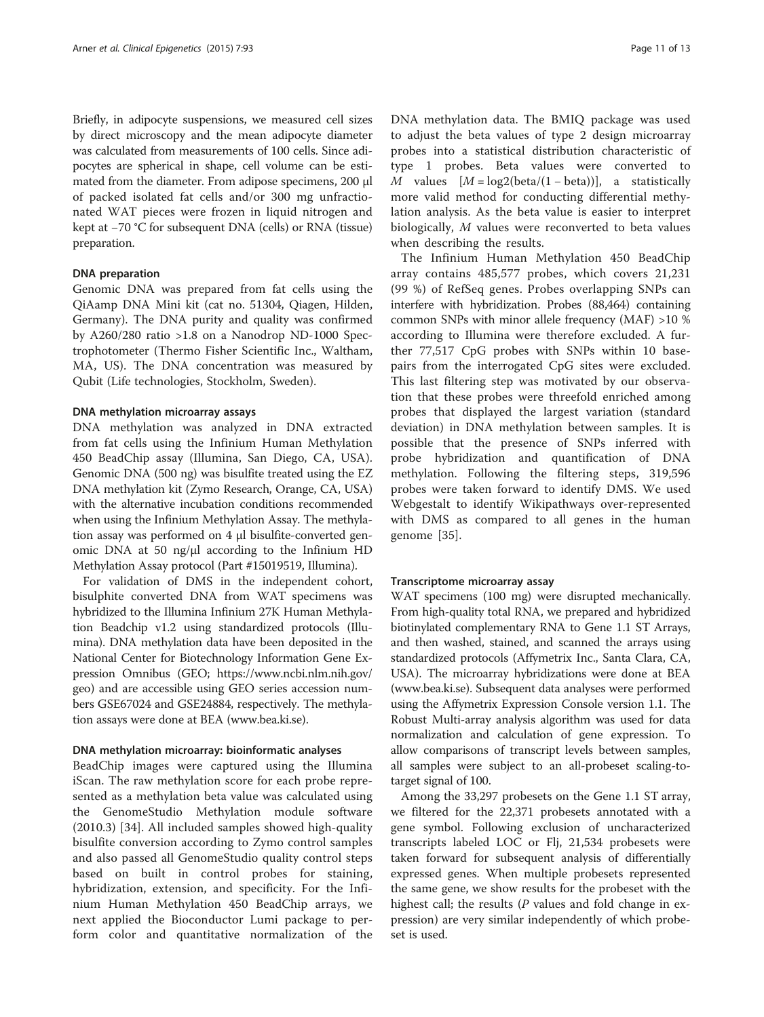Briefly, in adipocyte suspensions, we measured cell sizes by direct microscopy and the mean adipocyte diameter was calculated from measurements of 100 cells. Since adipocytes are spherical in shape, cell volume can be estimated from the diameter. From adipose specimens, 200 μl of packed isolated fat cells and/or 300 mg unfractionated WAT pieces were frozen in liquid nitrogen and kept at −70 °C for subsequent DNA (cells) or RNA (tissue) preparation.

#### DNA preparation

Genomic DNA was prepared from fat cells using the QiAamp DNA Mini kit (cat no. 51304, Qiagen, Hilden, Germany). The DNA purity and quality was confirmed by A260/280 ratio >1.8 on a Nanodrop ND-1000 Spectrophotometer (Thermo Fisher Scientific Inc., Waltham, MA, US). The DNA concentration was measured by Qubit (Life technologies, Stockholm, Sweden).

#### DNA methylation microarray assays

DNA methylation was analyzed in DNA extracted from fat cells using the Infinium Human Methylation 450 BeadChip assay (Illumina, San Diego, CA, USA). Genomic DNA (500 ng) was bisulfite treated using the EZ DNA methylation kit (Zymo Research, Orange, CA, USA) with the alternative incubation conditions recommended when using the Infinium Methylation Assay. The methylation assay was performed on 4 μl bisulfite-converted genomic DNA at 50 ng/μl according to the Infinium HD Methylation Assay protocol (Part #15019519, Illumina).

For validation of DMS in the independent cohort, bisulphite converted DNA from WAT specimens was hybridized to the Illumina Infinium 27K Human Methylation Beadchip v1.2 using standardized protocols (Illumina). DNA methylation data have been deposited in the National Center for Biotechnology Information Gene Expression Omnibus (GEO; [https://www.ncbi.nlm.nih.gov/](http://ncbi.nim.nih.gov/geo) [geo\)](http://ncbi.nim.nih.gov/geo) and are accessible using GEO series accession numbers GSE67024 and GSE24884, respectively. The methylation assays were done at BEA [\(www.bea.ki.se](http://www.bea.ki.se)).

#### DNA methylation microarray: bioinformatic analyses

BeadChip images were captured using the Illumina iScan. The raw methylation score for each probe represented as a methylation beta value was calculated using the GenomeStudio Methylation module software (2010.3) [[34\]](#page-12-0). All included samples showed high-quality bisulfite conversion according to Zymo control samples and also passed all GenomeStudio quality control steps based on built in control probes for staining, hybridization, extension, and specificity. For the Infinium Human Methylation 450 BeadChip arrays, we next applied the Bioconductor Lumi package to perform color and quantitative normalization of the DNA methylation data. The BMIQ package was used to adjust the beta values of type 2 design microarray probes into a statistical distribution characteristic of type 1 probes. Beta values were converted to M values  $[M = \log 2(\text{beta}/(1 - \text{beta}))]$ , a statistically more valid method for conducting differential methylation analysis. As the beta value is easier to interpret biologically, M values were reconverted to beta values when describing the results.

The Infinium Human Methylation 450 BeadChip array contains 485,577 probes, which covers 21,231 (99 %) of RefSeq genes. Probes overlapping SNPs can interfere with hybridization. Probes (88,464) containing common SNPs with minor allele frequency (MAF) >10 % according to Illumina were therefore excluded. A further 77,517 CpG probes with SNPs within 10 basepairs from the interrogated CpG sites were excluded. This last filtering step was motivated by our observation that these probes were threefold enriched among probes that displayed the largest variation (standard deviation) in DNA methylation between samples. It is possible that the presence of SNPs inferred with probe hybridization and quantification of DNA methylation. Following the filtering steps, 319,596 probes were taken forward to identify DMS. We used Webgestalt to identify Wikipathways over-represented with DMS as compared to all genes in the human genome [[35\]](#page-12-0).

#### Transcriptome microarray assay

WAT specimens (100 mg) were disrupted mechanically. From high-quality total RNA, we prepared and hybridized biotinylated complementary RNA to Gene 1.1 ST Arrays, and then washed, stained, and scanned the arrays using standardized protocols (Affymetrix Inc., Santa Clara, CA, USA). The microarray hybridizations were done at BEA ([www.bea.ki.se](http://www.bea.ki.se)). Subsequent data analyses were performed using the Affymetrix Expression Console version 1.1. The Robust Multi-array analysis algorithm was used for data normalization and calculation of gene expression. To allow comparisons of transcript levels between samples, all samples were subject to an all-probeset scaling-totarget signal of 100.

Among the 33,297 probesets on the Gene 1.1 ST array, we filtered for the 22,371 probesets annotated with a gene symbol. Following exclusion of uncharacterized transcripts labeled LOC or Flj, 21,534 probesets were taken forward for subsequent analysis of differentially expressed genes. When multiple probesets represented the same gene, we show results for the probeset with the highest call; the results ( $P$  values and fold change in expression) are very similar independently of which probeset is used.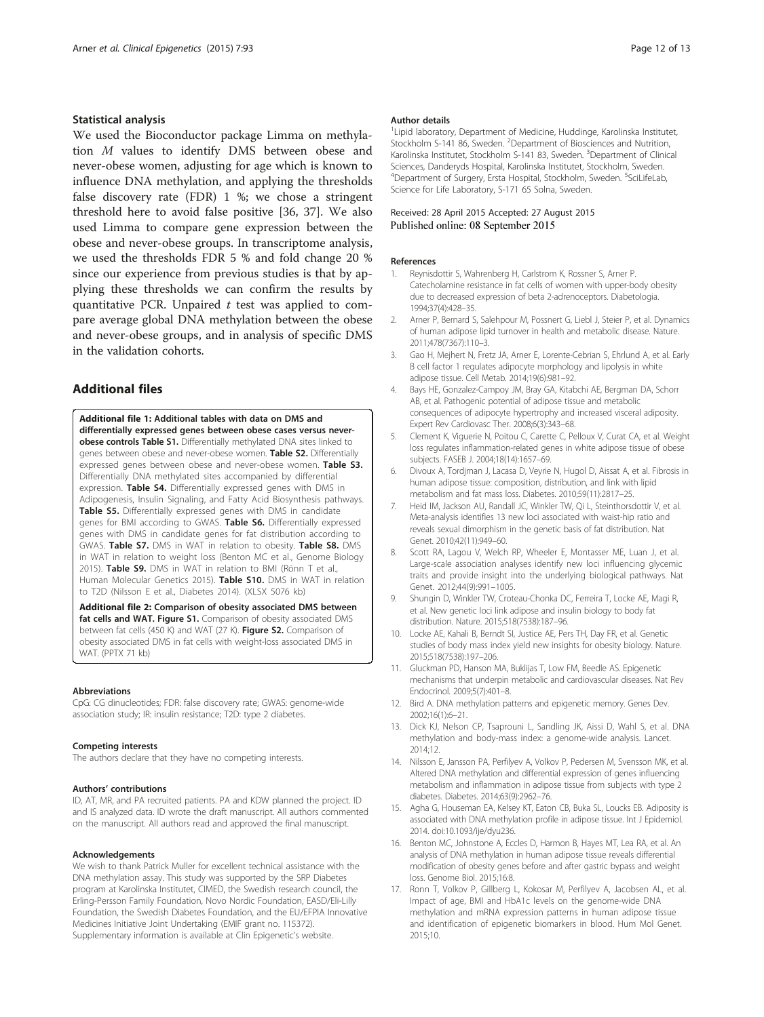#### <span id="page-11-0"></span>Statistical analysis

We used the Bioconductor package Limma on methylation M values to identify DMS between obese and never-obese women, adjusting for age which is known to influence DNA methylation, and applying the thresholds false discovery rate (FDR) 1 %; we chose a stringent threshold here to avoid false positive [[36, 37\]](#page-12-0). We also used Limma to compare gene expression between the obese and never-obese groups. In transcriptome analysis, we used the thresholds FDR 5 % and fold change 20 % since our experience from previous studies is that by applying these thresholds we can confirm the results by quantitative PCR. Unpaired  $t$  test was applied to compare average global DNA methylation between the obese and never-obese groups, and in analysis of specific DMS in the validation cohorts.

# Additional files

[Additional file 1:](http://www.clinicalepigeneticsjournal.com/content/supplementary/s13148-015-0126-9-s1.xlsx) Additional tables with data on DMS and differentially expressed genes between obese cases versus neverobese controls Table S1. Differentially methylated DNA sites linked to genes between obese and never-obese women. Table S2. Differentially expressed genes between obese and never-obese women. Table S3. Differentially DNA methylated sites accompanied by differential expression. Table S4. Differentially expressed genes with DMS in Adipogenesis, Insulin Signaling, and Fatty Acid Biosynthesis pathways. Table S5. Differentially expressed genes with DMS in candidate genes for BMI according to GWAS. Table S6. Differentially expressed genes with DMS in candidate genes for fat distribution according to GWAS. Table S7. DMS in WAT in relation to obesity. Table S8. DMS in WAT in relation to weight loss (Benton MC et al., Genome Biology 2015). Table S9. DMS in WAT in relation to BMI (Rönn T et al., Human Molecular Genetics 2015). Table S10. DMS in WAT in relation to T2D (Nilsson E et al., Diabetes 2014). (XLSX 5076 kb)

[Additional file 2:](http://www.clinicalepigeneticsjournal.com/content/supplementary/s13148-015-0126-9-s2.pptx) Comparison of obesity associated DMS between fat cells and WAT. Figure S1. Comparison of obesity associated DMS between fat cells (450 K) and WAT (27 K). Figure S2. Comparison of obesity associated DMS in fat cells with weight-loss associated DMS in WAT. (PPTX 71 kb)

#### Abbreviations

CpG: CG dinucleotides; FDR: false discovery rate; GWAS: genome-wide association study; IR: insulin resistance; T2D: type 2 diabetes.

#### Competing interests

The authors declare that they have no competing interests.

#### Authors' contributions

ID, AT, MR, and PA recruited patients. PA and KDW planned the project. ID and IS analyzed data. ID wrote the draft manuscript. All authors commented on the manuscript. All authors read and approved the final manuscript.

#### Acknowledgements

We wish to thank Patrick Muller for excellent technical assistance with the DNA methylation assay. This study was supported by the SRP Diabetes program at Karolinska Institutet, CIMED, the Swedish research council, the Erling-Persson Family Foundation, Novo Nordic Foundation, EASD/Eli-Lilly Foundation, the Swedish Diabetes Foundation, and the EU/EFPIA Innovative Medicines Initiative Joint Undertaking (EMIF grant no. 115372). Supplementary information is available at Clin Epigenetic's website.

#### Author details

<sup>1</sup> Lipid laboratory, Department of Medicine, Huddinge, Karolinska Institutet, Stockholm S-141 86, Sweden. <sup>2</sup>Department of Biosciences and Nutrition Karolinska Institutet, Stockholm S-141 83, Sweden. <sup>3</sup>Department of Clinical Sciences, Danderyds Hospital, Karolinska Institutet, Stockholm, Sweden. <sup>4</sup>Department of Surgery, Ersta Hospital, Stockholm, Sweden. <sup>5</sup>SciLifeLab Science for Life Laboratory, S-171 65 Solna, Sweden.

#### Received: 28 April 2015 Accepted: 27 August 2015 Published online: 08 September 2015

#### References

- 1. Reynisdottir S, Wahrenberg H, Carlstrom K, Rossner S, Arner P. Catecholamine resistance in fat cells of women with upper-body obesity due to decreased expression of beta 2-adrenoceptors. Diabetologia. 1994;37(4):428–35.
- 2. Arner P, Bernard S, Salehpour M, Possnert G, Liebl J, Steier P, et al. Dynamics of human adipose lipid turnover in health and metabolic disease. Nature. 2011;478(7367):110–3.
- 3. Gao H, Mejhert N, Fretz JA, Arner E, Lorente-Cebrian S, Ehrlund A, et al. Early B cell factor 1 regulates adipocyte morphology and lipolysis in white adipose tissue. Cell Metab. 2014;19(6):981–92.
- 4. Bays HE, Gonzalez-Campoy JM, Bray GA, Kitabchi AE, Bergman DA, Schorr AB, et al. Pathogenic potential of adipose tissue and metabolic consequences of adipocyte hypertrophy and increased visceral adiposity. Expert Rev Cardiovasc Ther. 2008;6(3):343–68.
- 5. Clement K, Viguerie N, Poitou C, Carette C, Pelloux V, Curat CA, et al. Weight loss regulates inflammation-related genes in white adipose tissue of obese subjects. FASEB J. 2004;18(14):1657–69.
- 6. Divoux A, Tordjman J, Lacasa D, Veyrie N, Hugol D, Aissat A, et al. Fibrosis in human adipose tissue: composition, distribution, and link with lipid metabolism and fat mass loss. Diabetes. 2010;59(11):2817–25.
- 7. Heid IM, Jackson AU, Randall JC, Winkler TW, Qi L, Steinthorsdottir V, et al. Meta-analysis identifies 13 new loci associated with waist-hip ratio and reveals sexual dimorphism in the genetic basis of fat distribution. Nat Genet. 2010;42(11):949–60.
- 8. Scott RA, Lagou V, Welch RP, Wheeler E, Montasser ME, Luan J, et al. Large-scale association analyses identify new loci influencing glycemic traits and provide insight into the underlying biological pathways. Nat Genet. 2012;44(9):991–1005.
- 9. Shungin D, Winkler TW, Croteau-Chonka DC, Ferreira T, Locke AE, Magi R, et al. New genetic loci link adipose and insulin biology to body fat distribution. Nature. 2015;518(7538):187–96.
- 10. Locke AE, Kahali B, Berndt SI, Justice AE, Pers TH, Day FR, et al. Genetic studies of body mass index yield new insights for obesity biology. Nature. 2015;518(7538):197–206.
- 11. Gluckman PD, Hanson MA, Buklijas T, Low FM, Beedle AS. Epigenetic mechanisms that underpin metabolic and cardiovascular diseases. Nat Rev Endocrinol. 2009;5(7):401–8.
- 12. Bird A. DNA methylation patterns and epigenetic memory. Genes Dev. 2002;16(1):6–21.
- 13. Dick KJ, Nelson CP, Tsaprouni L, Sandling JK, Aissi D, Wahl S, et al. DNA methylation and body-mass index: a genome-wide analysis. Lancet. 2014;12.
- 14. Nilsson E, Jansson PA, Perfilyev A, Volkov P, Pedersen M, Svensson MK, et al. Altered DNA methylation and differential expression of genes influencing metabolism and inflammation in adipose tissue from subjects with type 2 diabetes. Diabetes. 2014;63(9):2962–76.
- 15. Agha G, Houseman EA, Kelsey KT, Eaton CB, Buka SL, Loucks EB. Adiposity is associated with DNA methylation profile in adipose tissue. Int J Epidemiol. 2014. doi[:10.1093/ije/dyu236.](http://dx.doi.org/10.1093/ije/dyu236)
- 16. Benton MC, Johnstone A, Eccles D, Harmon B, Hayes MT, Lea RA, et al. An analysis of DNA methylation in human adipose tissue reveals differential modification of obesity genes before and after gastric bypass and weight loss. Genome Biol. 2015;16:8.
- 17. Ronn T, Volkov P, Gillberg L, Kokosar M, Perfilyev A, Jacobsen AL, et al. Impact of age, BMI and HbA1c levels on the genome-wide DNA methylation and mRNA expression patterns in human adipose tissue and identification of epigenetic biomarkers in blood. Hum Mol Genet. 2015;10.